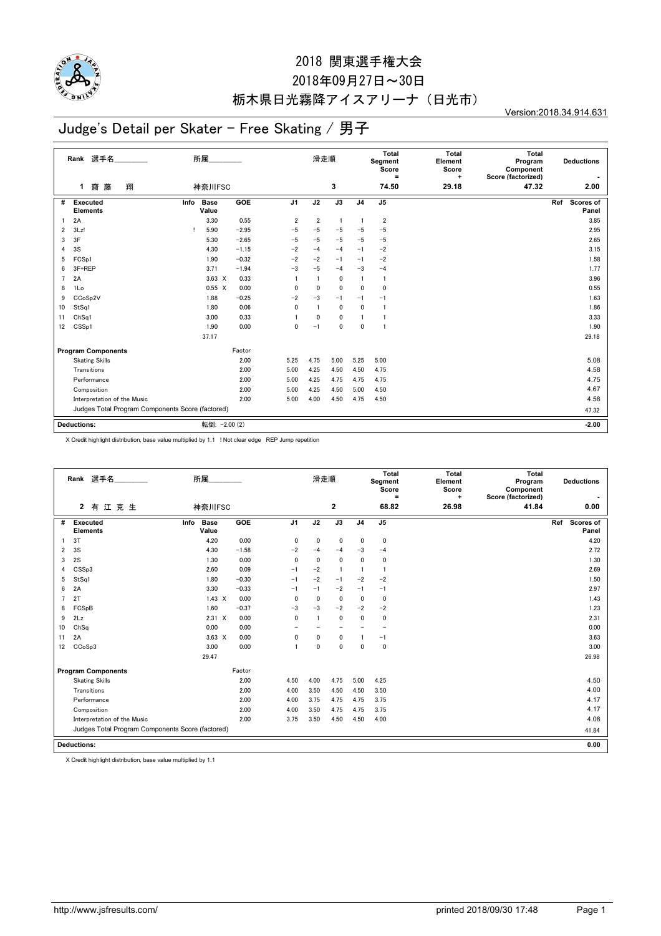

#### 2018 関東選手権大会

### 2018年09月27日~30日 栃木県日光霧降アイスアリーナ(日光市)

Version:2018.34.914.631

# Judge's Detail per Skater - Free Skating / 男子

|                    | Rank 選手名<br>翔<br>齌<br>藤<br>$\mathbf{1}$          | 所属<br>神奈川FSC         |         |                | 滑走順          | 3              |                | <b>Total</b><br>Segment<br>Score<br>$\equiv$<br>74.50 | <b>Total</b><br>Element<br>Score<br>÷<br>29.18 | <b>Total</b><br>Program<br>Component<br>Score (factorized)<br>47.32 | <b>Deductions</b><br>2.00 |
|--------------------|--------------------------------------------------|----------------------|---------|----------------|--------------|----------------|----------------|-------------------------------------------------------|------------------------------------------------|---------------------------------------------------------------------|---------------------------|
|                    |                                                  |                      |         |                |              |                |                |                                                       |                                                |                                                                     |                           |
| #                  | <b>Executed</b><br>Info<br><b>Elements</b>       | <b>Base</b><br>Value | GOE     | J <sub>1</sub> | J2           | J3             | J <sub>4</sub> | J <sub>5</sub>                                        |                                                |                                                                     | Scores of<br>Ref<br>Panel |
|                    | 2A                                               | 3.30                 | 0.55    | 2              | 2            | $\overline{1}$ |                | $\overline{\mathbf{2}}$                               |                                                |                                                                     | 3.85                      |
| $\overline{2}$     | 3Lz!                                             | 5.90<br>Ţ            | $-2.95$ | $-5$           | $-5$         | $-5$           | $-5$           | $-5$                                                  |                                                |                                                                     | 2.95                      |
| 3                  | 3F                                               | 5.30                 | $-2.65$ | $-5$           | $-5$         | $-5$           | $-5$           | $-5$                                                  |                                                |                                                                     | 2.65                      |
| 4                  | 3S                                               | 4.30                 | $-1.15$ | $-2$           | $-4$         | $-4$           | $-1$           | $-2$                                                  |                                                |                                                                     | 3.15                      |
| 5                  | FCSp1                                            | 1.90                 | $-0.32$ | $-2$           | $-2$         | $-1$           | $-1$           | $-2$                                                  |                                                |                                                                     | 1.58                      |
| 6                  | 3F+REP                                           | 3.71                 | $-1.94$ | $-3$           | $-5$         | $-4$           | $-3$           | $-4$                                                  |                                                |                                                                     | 1.77                      |
| $\overline{7}$     | 2A                                               | $3.63 \times$        | 0.33    |                |              | 0              | $\mathbf{1}$   | -1                                                    |                                                |                                                                     | 3.96                      |
| 8                  | 1Lo                                              | $0.55 \quad X$       | 0.00    | 0              | 0            | 0              | $\mathbf 0$    | 0                                                     |                                                |                                                                     | 0.55                      |
| 9                  | CCoSp2V                                          | 1.88                 | $-0.25$ | $-2$           | $-3$         | $-1$           | $-1$           | $-1$                                                  |                                                |                                                                     | 1.63                      |
| 10                 | StSq1                                            | 1.80                 | 0.06    | $\mathbf{0}$   |              | 0              | $\mathbf 0$    | -1                                                    |                                                |                                                                     | 1.86                      |
| 11                 | Ch <sub>Sq1</sub>                                | 3.00                 | 0.33    |                | $\mathbf{0}$ | $\mathbf{0}$   | $\mathbf{1}$   |                                                       |                                                |                                                                     | 3.33                      |
| 12                 | CSS <sub>p1</sub>                                | 1.90                 | 0.00    | $\mathbf 0$    | $-1$         | $\mathbf 0$    | $\mathbf 0$    |                                                       |                                                |                                                                     | 1.90                      |
|                    |                                                  | 37.17                |         |                |              |                |                |                                                       |                                                |                                                                     | 29.18                     |
|                    | <b>Program Components</b>                        |                      | Factor  |                |              |                |                |                                                       |                                                |                                                                     |                           |
|                    | <b>Skating Skills</b>                            |                      | 2.00    | 5.25           | 4.75         | 5.00           | 5.25           | 5.00                                                  |                                                |                                                                     | 5.08                      |
|                    | Transitions                                      |                      | 2.00    | 5.00           | 4.25         | 4.50           | 4.50           | 4.75                                                  |                                                |                                                                     | 4.58                      |
|                    | Performance                                      |                      | 2.00    | 5.00           | 4.25         | 4.75           | 4.75           | 4.75                                                  |                                                |                                                                     | 4.75                      |
|                    | Composition                                      |                      | 2.00    | 5.00           | 4.25         | 4.50           | 5.00           | 4.50                                                  |                                                |                                                                     | 4.67                      |
|                    | Interpretation of the Music                      |                      | 2.00    | 5.00           | 4.00         | 4.50           | 4.75           | 4.50                                                  |                                                |                                                                     | 4.58                      |
|                    | Judges Total Program Components Score (factored) |                      |         |                |              |                |                |                                                       | 47.32                                          |                                                                     |                           |
| <b>Deductions:</b> |                                                  | 転倒: - 2.00 (2)       |         |                |              |                |                |                                                       |                                                |                                                                     | $-2.00$                   |

X Credit highlight distribution, base value multiplied by 1.1 ! Not clear edge REP Jump repetition

|                | Rank 選手名<br>有江克生<br>$\overline{2}$               | 所属<br>神奈川FSC                 |            |                | 滑走順            | $\mathbf{2}$ |                | Total<br>Segment<br>Score<br>Ξ<br>68.82 | <b>Total</b><br>Element<br>Score<br>$\ddot{}$<br>26.98 | Total<br>Program<br>Component<br>Score (factorized)<br>41.84 | <b>Deductions</b><br>0.00 |
|----------------|--------------------------------------------------|------------------------------|------------|----------------|----------------|--------------|----------------|-----------------------------------------|--------------------------------------------------------|--------------------------------------------------------------|---------------------------|
| #              | Executed<br><b>Elements</b>                      | <b>Base</b><br>Info<br>Value | <b>GOE</b> | J <sub>1</sub> | J2             | J3           | J <sub>4</sub> | J <sub>5</sub>                          |                                                        |                                                              | Scores of<br>Ref<br>Panel |
|                | 3T                                               | 4.20                         | 0.00       | 0              | $\mathbf{0}$   | $\mathbf 0$  | 0              | $\mathbf 0$                             |                                                        |                                                              | 4.20                      |
| 2              | 3S                                               | 4.30                         | $-1.58$    | $-2$           | $-4$           | $-4$         | $-3$           | $-4$                                    |                                                        |                                                              | 2.72                      |
| 3              | 2S                                               | 1.30                         | 0.00       | $\mathbf{0}$   | $\mathbf{0}$   | 0            | $\mathbf{0}$   | $\mathbf 0$                             |                                                        |                                                              | 1.30                      |
| 4              | CSSp3                                            | 2.60                         | 0.09       | $-1$           | $-2$           | $\mathbf{1}$ | $\overline{1}$ | $\overline{1}$                          |                                                        |                                                              | 2.69                      |
| 5              | StSq1                                            | 1.80                         | $-0.30$    | $-1$           | $-2$           | $-1$         | $-2$           | $-2$                                    |                                                        |                                                              | 1.50                      |
| 6              | 2A                                               | 3.30                         | $-0.33$    | $-1$           | $-1$           | $-2$         | $-1$           | $-1$                                    |                                                        |                                                              | 2.97                      |
| $\overline{7}$ | 2T                                               | $1.43 \times$                | 0.00       | $\mathbf{0}$   | $\mathbf{0}$   | 0            | $\mathbf{0}$   | $\mathbf 0$                             |                                                        |                                                              | 1.43                      |
| 8              | FCSpB                                            | 1.60                         | $-0.37$    | $-3$           | $-3$           | $-2$         | $-2$           | $-2$                                    |                                                        |                                                              | 1.23                      |
| 9              | 2Lz                                              | $2.31 \times$                | 0.00       | $\mathbf{0}$   | $\overline{1}$ | $\mathbf{0}$ | $\mathbf{0}$   | 0                                       |                                                        |                                                              | 2.31                      |
| 10             | ChSq                                             | 0.00                         | 0.00       |                |                | ÷            |                | $\qquad \qquad -$                       |                                                        |                                                              | 0.00                      |
| 11             | 2A                                               | $3.63 \times$                | 0.00       | 0              | $\mathbf{0}$   | 0            |                | $-1$                                    |                                                        |                                                              | 3.63                      |
| 12             | CC <sub>o</sub> S <sub>p</sub> 3                 | 3.00                         | 0.00       | $\overline{1}$ | $\mathbf{0}$   | 0            | $\mathbf{0}$   | $\mathbf 0$                             |                                                        |                                                              | 3.00                      |
|                |                                                  | 29.47                        |            |                |                |              |                |                                         |                                                        |                                                              | 26.98                     |
|                | <b>Program Components</b>                        |                              |            |                |                |              |                |                                         |                                                        |                                                              |                           |
|                | <b>Skating Skills</b>                            |                              | 2.00       | 4.50           | 4.00           | 4.75         | 5.00           | 4.25                                    |                                                        |                                                              | 4.50                      |
|                | Transitions                                      |                              | 2.00       | 4.00           | 3.50           | 4.50         | 4.50           | 3.50                                    |                                                        |                                                              | 4.00                      |
|                | Performance                                      |                              | 2.00       | 4.00           | 3.75           | 4.75         | 4.75           | 3.75                                    |                                                        |                                                              | 4.17                      |
|                | Composition                                      |                              | 2.00       | 4.00           | 3.50           | 4.75         | 4.75           | 3.75                                    |                                                        |                                                              | 4.17                      |
|                | Interpretation of the Music                      |                              | 2.00       | 3.75           | 3.50           | 4.50         | 4.50           | 4.00                                    |                                                        |                                                              | 4.08                      |
|                | Judges Total Program Components Score (factored) |                              |            |                |                |              |                |                                         |                                                        |                                                              | 41.84                     |
|                | <b>Deductions:</b>                               |                              |            |                |                |              |                |                                         |                                                        |                                                              | 0.00                      |

X Credit highlight distribution, base value multiplied by 1.1